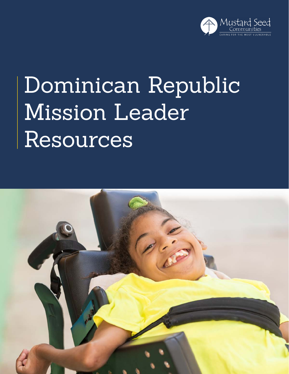

# Dominican Republic Mission Leader Resources

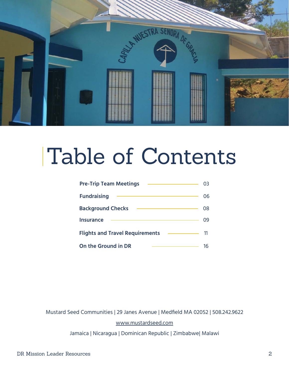

## Table of Contents

| <b>Pre-Trip Team Meetings</b>          |    |
|----------------------------------------|----|
| <b>Fundraising</b>                     | 06 |
| <b>Background Checks</b>               | 08 |
| <b>Insurance</b>                       | 09 |
| <b>Flights and Travel Requirements</b> | 11 |
| <b>On the Ground in DR</b>             |    |

Mustard Seed Communities | 29 Janes Avenue | Medfield MA 02052 | 508.242.9622 [www.mustardseed.com](http://www.mustardseed.com )

Jamaica | Nicaragua | Dominican Republic | Zimbabwe| Malawi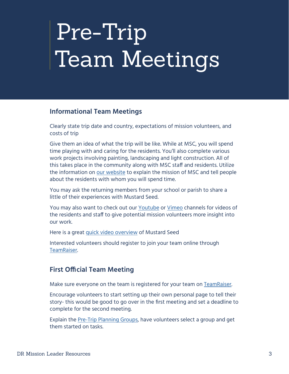# <span id="page-2-0"></span>Pre-Trip Team Meetings

#### **Informational Team Meetings**

Clearly state trip date and country, expectations of mission volunteers, and costs of trip

Give them an idea of what the trip will be like. While at MSC, you will spend time playing with and caring for the residents. You'll also complete various work projects involving painting, landscaping and light construction. All of this takes place in the community along with MSC staff and residents. Utilize the information on [our website](https://www.mustardseed.com) to explain the mission of MSC and tell people about the residents with whom you will spend time.

You may ask the returning members from your school or parish to share a little of their experiences with Mustard Seed.

You may also want to check out our [Youtube](https://www.youtube.com/channel/UCzrMnV3mm6XRkomRC2LI5Dw) or [Vimeo](https://vimeo.com/mustardseedcommunities) channels for videos of the residents and staff to give potential mission volunteers more insight into our work.

Here is a great [quick video overview](https://drive.google.com/file/d/19W8cxqt9jKpdrUXUZ91KqB4uEVX2uz_y/view) of Mustard Seed

Interested volunteers should register to join your team online through [TeamRaiser.](#page-5-1)

## **First Official Team Meeting**

Make sure everyone on the team is registered for your team on [TeamRaiser](#page-5-1).

Encourage volunteers to start setting up their own personal page to tell their story- this would be good to go over in the first meeting and set a deadline to complete for the second meeting.

Explain the [Pre-Trip Planning Groups,](https://docs.google.com/document/d/1bQbmV5CCpdluzDcj07d596ZlDlNe1olGPl04I4wGA3Y/edit?usp=sharing) have volunteers select a group and get them started on tasks.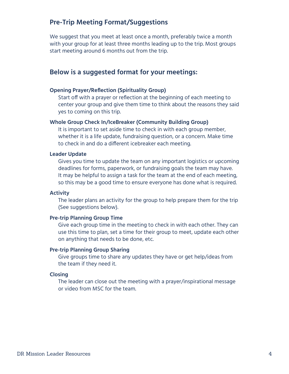#### **Pre-Trip Meeting Format/Suggestions**

We suggest that you meet at least once a month, preferably twice a month with your group for at least three months leading up to the trip. Most groups start meeting around 6 months out from the trip.

### **Below is a suggested format for your meetings:**

#### **Opening Prayer/Reflection (Spirituality Group)**

Start off with a prayer or reflection at the beginning of each meeting to center your group and give them time to think about the reasons they said yes to coming on this trip.

#### **Whole Group Check In/IceBreaker (Community Building Group)**

It is important to set aside time to check in with each group member, whether it is a life update, fundraising question, or a concern. Make time to check in and do a different icebreaker each meeting.

#### **Leader Update**

Gives you time to update the team on any important logistics or upcoming deadlines for forms, paperwork, or fundraising goals the team may have. It may be helpful to assign a task for the team at the end of each meeting, so this may be a good time to ensure everyone has done what is required.

#### **Activity**

The leader plans an activity for the group to help prepare them for the trip (See suggestions below).

#### **Pre-trip Planning Group Time**

Give each group time in the meeting to check in with each other. They can use this time to plan, set a time for their group to meet, update each other on anything that needs to be done, etc.

#### **Pre-trip Planning Group Sharing**

Give groups time to share any updates they have or get help/ideas from the team if they need it.

#### **Closing**

The leader can close out the meeting with a prayer/inspirational message or video from MSC for the team.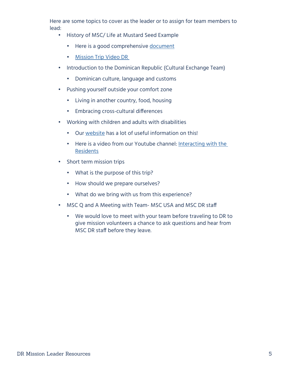Here are some topics to cover as the leader or to assign for team members to lead:

- History of MSC/ Life at Mustard Seed Example
	- Here is a good comprehensive [document](https://docs.google.com/document/d/1xU_5ff2oohFwWBMicq0aivKUdO3Wgn7S/edit)
	- [Mission Trip Video DR](https://www.youtube.com/watch?v=4J5odBh7Isg)
- Introduction to the Dominican Republic (Cultural Exchange Team)
	- Dominican culture, language and customs
- Pushing yourself outside your comfort zone
	- Living in another country, food, housing
	- Embracing cross-cultural differences
- Working with children and adults with disabilities
	- Our [website](https://www.mustardseed.com/blog/mscs-guide-interacting-residents) has a lot of useful information on this!
	- Here is a video from our Youtube channel: [Interacting with the](https://www.youtube.com/watch?v=cB4Y1NGwpfg)  [Residents](https://www.youtube.com/watch?v=cB4Y1NGwpfg)
- Short term mission trips
	- What is the purpose of this trip?
	- How should we prepare ourselves?
	- What do we bring with us from this experience?
- MSC Q and A Meeting with Team- MSC USA and MSC DR staff
	- We would love to meet with your team before traveling to DR to give mission volunteers a chance to ask questions and hear from MSC DR staff before they leave.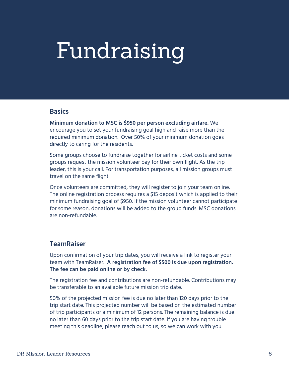## <span id="page-5-0"></span>Fundraising

#### **Basics**

**Minimum donation to MSC is \$950 per person excluding airfare.** We encourage you to set your fundraising goal high and raise more than the required minimum donation. Over 50% of your minimum donation goes directly to caring for the residents.

Some groups choose to fundraise together for airline ticket costs and some groups request the mission volunteer pay for their own flight. As the trip leader, this is your call. For transportation purposes, all mission groups must travel on the same flight.

Once volunteers are committed, they will register to join your team online. The online registration process requires a \$15 deposit which is applied to their minimum fundraising goal of \$950. If the mission volunteer cannot participate for some reason, donations will be added to the group funds. MSC donations are non-refundable.

#### <span id="page-5-1"></span>**TeamRaiser**

Upon confirmation of your trip dates, you will receive a link to register your team with TeamRaiser. **A registration fee of \$500 is due upon registration. The fee can be paid online or by check.** 

The registration fee and contributions are non-refundable. Contributions may be transferable to an available future mission trip date.

50% of the projected mission fee is due no later than 120 days prior to the trip start date. This projected number will be based on the estimated number of trip participants or a minimum of 12 persons. The remaining balance is due no later than 60 days prior to the trip start date. If you are having trouble meeting this deadline, please reach out to us, so we can work with you.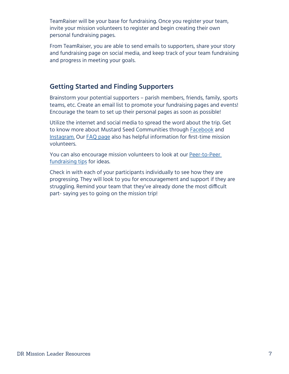TeamRaiser will be your base for fundraising. Once you register your team, invite your mission volunteers to register and begin creating their own personal fundraising pages.

From TeamRaiser, you are able to send emails to supporters, share your story and fundraising page on social media, and keep track of your team fundraising and progress in meeting your goals.

## **Getting Started and Finding Supporters**

Brainstorm your potential supporters – parish members, friends, family, sports teams, etc. Create an email list to promote your fundraising pages and events! Encourage the team to set up their personal pages as soon as possible!

Utilize the internet and social media to spread the word about the trip. Get to know more about Mustard Seed Communities through **[Facebook](https://www.facebook.com/MustardSeedCommunities/)** and [Instagram](https://www.instagram.com/mustardseedcommunities/). Our [FAQ page](https://www.mustardseed.com/mission-trips/frequently-asked-questions) also has helpful information for first-time mission volunteers.

You can also encourage mission volunteers to look at our Peer-to-Peer [fundraising tips](https://www.mustardseed.com/blog/peer-peer-fundraising) for ideas.

Check in with each of your participants individually to see how they are progressing. They will look to you for encouragement and support if they are struggling. Remind your team that they've already done the most difficult part- saying yes to going on the mission trip!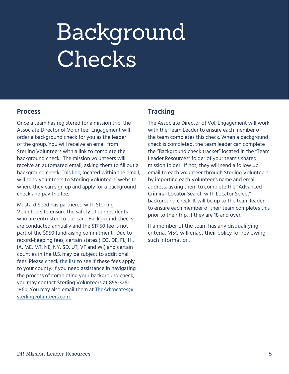# <span id="page-7-0"></span>Background Checks

#### **Process**

Once a team has registered for a mission trip, the Associate Director of Volunteer Engagement will order a background check for you as the leader of the group. You will receive an email from Sterling Volunteers with a link to complete the background check. The mission volunteers will receive an automated email, asking them to fill out a background check. This [link,](https://app.sterlingvolunteers.com/promoorder/c416bfff-66e8-49ae-81cf-77371c4563ec) located within the email, will send volunteers to Sterling Volunteers' website where they can sign up and apply for a background check and pay the fee.

Mustard Seed has partnered with Sterling Volunteers to ensure the safety of our residents who are entrusted to our care. Background checks are conducted annually and the \$17.50 fee is not part of the \$950 fundraising commitment. Due to record-keeping fees, certain states ( CO, DE, FL, HI, IA, ME, MT, NE, NY, SD, UT, VT and WI) and certain counties in the U.S. may be subject to additional fees. Please check [the list](https://acrobat.adobe.com/link/review?uri=urn:aaid:scds:US:c90b7f86-00fe-327d-8c49-0916e288f0ce) to see if these fees apply to your county. If you need assistance in navigating the process of completing your background check, you may contact Sterling Volunteers at 855-326- 1860. You may also email them at [TheAdvocates@](mailto:TheAdvocates@sterlingvolunteers.com) [sterlingvolunteers.com.](mailto:TheAdvocates@sterlingvolunteers.com)

## **Tracking**

The Associate Director of Vol. Engagement will work with the Team Leader to ensure each member of the team completes this check. When a background check is completed, the team leader can complete the "Background check tracker" located in the "Team Leader Resources" folder of your team's shared mission folder. If not, they will send a follow up email to each volunteer through Sterling Volunteers by importing each Volunteer's name and email address, asking them to complete the "Advanced Criminal Locator Search with Locator Select" background check. It will be up to the team leader to ensure each member of their team completes this prior to their trip, if they are 18 and over.

If a member of the team has any disqualifying criteria, MSC will enact their policy for reviewing such information.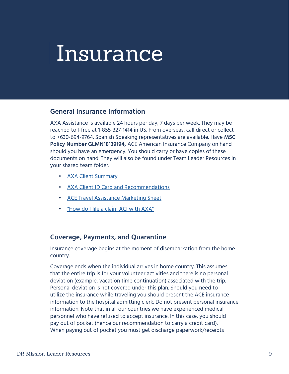## <span id="page-8-0"></span>Insurance

#### **General Insurance Information**

AXA Assistance is available 24 hours per day, 7 days per week. They may be reached toll-free at 1-855-327-1414 in US. From overseas, call direct or collect to +630-694-9764. Spanish Speaking representatives are available. Have **MSC Policy Number GLMN18139194,** ACE American Insurance Company on hand should you have an emergency. You should carry or have copies of these documents on hand. They will also be found under Team Leader Resources in your shared team folder.

- [AXA Client Summary](https://drive.google.com/file/d/15JzuFUVqRQDaPYVhD3NUmBAdHW5EdjFP/view?usp=sharing)
- [AXA Client ID Card and Recommendations](https://drive.google.com/file/d/1hDQk4n0HERoZQotYpyXZXLtraR-QOWd8/view?usp=sharing)
- [ACE Travel Assistance Marketing Sheet](https://drive.google.com/file/d/1aLlxlkQwW7fOU9h-QU8bqfGmqQgnZg34/view?usp=sharing)
- ["How do I file a claim ACI with AXA"](https://drive.google.com/file/d/1K-3m1u3km-0V54LB4DEqqEri8LPqsjeR/view?usp=sharing)

#### **Coverage, Payments, and Quarantine**

Insurance coverage begins at the moment of disembarkation from the home country.

Coverage ends when the individual arrives in home country. This assumes that the entire trip is for your volunteer activities and there is no personal deviation (example, vacation time continuation) associated with the trip. Personal deviation is not covered under this plan. Should you need to utilize the insurance while traveling you should present the ACE insurance information to the hospital admitting clerk. Do not present personal insurance information. Note that in all our countries we have experienced medical personnel who have refused to accept insurance. In this case, you should pay out of pocket (hence our recommendation to carry a credit card). When paying out of pocket you must get discharge paperwork/receipts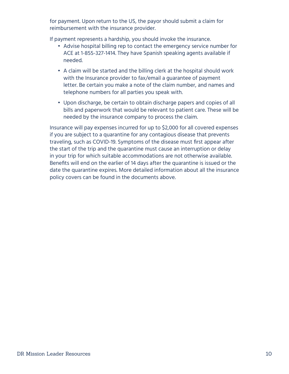for payment. Upon return to the US, the payor should submit a claim for reimbursement with the insurance provider.

If payment represents a hardship, you should invoke the insurance.

- Advise hospital billing rep to contact the emergency service number for ACE at 1-855-327-1414. They have Spanish speaking agents available if needed.
- A claim will be started and the billing clerk at the hospital should work with the Insurance provider to fax/email a guarantee of payment letter. Be certain you make a note of the claim number, and names and telephone numbers for all parties you speak with.
- Upon discharge, be certain to obtain discharge papers and copies of all bills and paperwork that would be relevant to patient care. These will be needed by the insurance company to process the claim.

Insurance will pay expenses incurred for up to \$2,000 for all covered expenses if you are subject to a quarantine for any contagious disease that prevents traveling, such as COVID-19. Symptoms of the disease must first appear after the start of the trip and the quarantine must cause an interruption or delay in your trip for which suitable accommodations are not otherwise available. Benefits will end on the earlier of 14 days after the quarantine is issued or the date the quarantine expires. More detailed information about all the insurance policy covers can be found in the documents above.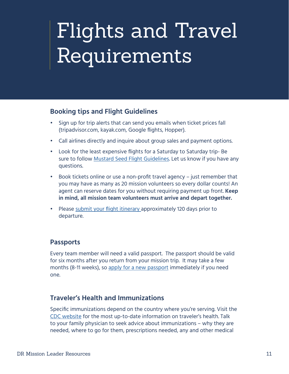## <span id="page-10-0"></span>Flights and Travel Requirements

### **Booking tips and Flight Guidelines**

- Sign up for trip alerts that can send you emails when ticket prices fall (tripadvisor.com, kayak.com, Google flights, Hopper).
- Call airlines directly and inquire about group sales and payment options.
- Look for the least expensive flights for a Saturday to Saturday trip- Be sure to follow [Mustard Seed Flight Guidelines](https://www.mustardseed.com/sites/default/files/FlightInformation2019.pdf). Let us know if you have any questions.
- Book tickets online or use a non-profit travel agency just remember that you may have as many as 20 mission volunteers so every dollar counts! An agent can reserve dates for you without requiring payment up front. **Keep in mind, all mission team volunteers must arrive and depart together.**
- Please [submit your flight itinerary](http://go.mustardseed.com/site/Survey?SURVEY_ID=6794&ACTION_REQUIRED=URI_ACTION_USER_REQUESTS&AddInterest=1034&utm_source=document&utm_medium=website&utm_campaign=flight_survey) approximately 120 days prior to departure.

### **Passports**

Every team member will need a valid passport. The passport should be valid for six months after you return from your mission trip. It may take a few months (8-11 weeks), so [apply for a new passport](http://www.travel.state.gov/passport) immediately if you need one.

### **Traveler's Health and Immunizations**

Specific immunizations depend on the country where you're serving. Visit the [CDC website](https://wwwnc.cdc.gov/travel/destinations/list) for the most up-to-date information on traveler's health. Talk to your family physician to seek advice about immunizations – why they are needed, where to go for them, prescriptions needed, any and other medical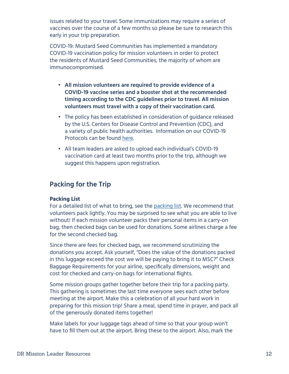issues related to your travel. Some immunizations may require a series of vaccines over the course of a few months so please be sure to research this early in your trip preparation.

COVID-19: Mustard Seed Communities has implemented a mandatory COVID-19 vaccination policy for mission volunteers in order to protect the residents of Mustard Seed Communities, the majority of whom are immunocompromised.

- **• All mission volunteers are required to provide evidence of a COVID-19 vaccine series and a booster shot at the recommended timing according to the CDC guidelines prior to travel. All mission volunteers must travel with a copy of their vaccination card.**
- The policy has been established in consideration of guidance released by the U.S. Centers for Disease Control and Prevention (CDC), and a variety of public health authorities. Information on our COVID-19 Protocols can be found [here](https://docs.google.com/document/d/1IhzaYnnhIt9XZmr_WkbZCCqWj0_19qs4/edit?usp=sharing&ouid=114222190925951018293&rtpof=true&sd=true).
- All team leaders are asked to upload each individual's COVID-19 vaccination card at least two months prior to the trip, although we suggest this happens upon registration.

## **Packing for the Trip**

#### **Packing List**

For a detailed list of what to bring, see the [packing list](https://drive.google.com/file/d/1Ay6AzaPW6m9MvZxSWVwUlAF56YQaaxOY/view?usp=sharing). We recommend that volunteers pack lightly. You may be surprised to see what you are able to live without! If each mission volunteer packs their personal items in a carry-on bag, then checked bags can be used for donations. Some airlines charge a fee for the second checked bag.

Since there are fees for checked bags, we recommend scrutinizing the donations you accept. Ask yourself, "Does the value of the donations packed in this luggage exceed the cost we will be paying to bring it to MSC?" Check Baggage Requirements for your airline, specifically dimensions, weight and cost for checked and carry-on bags for international flights.

Some mission groups gather together before their trip for a packing party. This gathering is sometimes the last time everyone sees each other before meeting at the airport. Make this a celebration of all your hard work in preparing for this mission trip! Share a meal, spend time in prayer, and pack all of the generously donated items together!

Make labels for your luggage tags ahead of time so that your group won't have to fill them out at the airport. Bring these to the airport. Also, mark the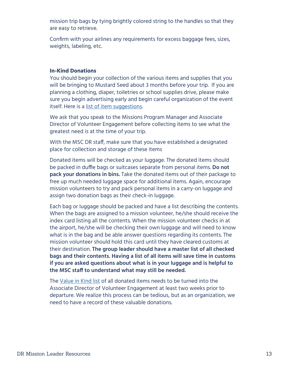mission trip bags by tying brightly colored string to the handles so that they are easy to retrieve.

Confirm with your airlines any requirements for excess baggage fees, sizes, weights, labeling, etc.

#### **In-Kind Donations**

You should begin your collection of the various items and supplies that you will be bringing to Mustard Seed about 3 months before your trip. If you are planning a clothing, diaper, toiletries or school supplies drive, please make sure you begin advertising early and begin careful organization of the event itself. Here is a [list of item suggestions.](https://www.mustardseed.com/sites/default/files/MSC%20Jamaica%20General%20Wish%20List%202017%20website.pdf)

We ask that you speak to the Missions Program Manager and Associate Director of Volunteer Engagement before collecting items to see what the greatest need is at the time of your trip.

With the MSC DR staff, make sure that you have established a designated place for collection and storage of these items

Donated items will be checked as your luggage. The donated items should be packed in duffle bags or suitcases separate from personal items. **Do not pack your donations in bins.** Take the donated items out of their package to free up much needed luggage space for additional items. Again, encourage mission volunteers to try and pack personal items in a carry-on luggage and assign two donation bags as their check-in luggage.

Each bag or luggage should be packed and have a list describing the contents. When the bags are assigned to a mission volunteer, he/she should receive the index card listing all the contents. When the mission volunteer checks in at the airport, he/she will be checking their own luggage and will need to know what is in the bag and be able answer questions regarding its contents. The mission volunteer should hold this card until they have cleared customs at their destination. **The group leader should have a master list of all checked bags and their contents. Having a list of all items will save time in customs if you are asked questions about what is in your luggage and is helpful to the MSC staff to understand what may still be needed.** 

The [Value in Kind list](https://docs.google.com/spreadsheets/d/1FyX23XxCqjJz-72Mm0NOiLJgJM4GA66D/edit?usp=sharing&ouid=114222190925951018293&rtpof=true&sd=true) of all donated items needs to be turned into the Associate Director of Volunteer Engagement at least two weeks prior to departure. We realize this process can be tedious, but as an organization, we need to have a record of these valuable donations.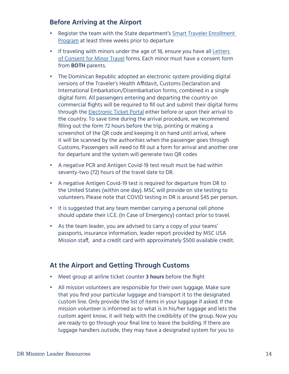## **Before Arriving at the Airport**

- Register the team with the State department's [Smart Traveler Enrollment](https://step.state.gov/step/)  [Program](https://step.state.gov/step/) at least three weeks prior to departure
- If traveling with minors under the age of 18, ensure you have all [Letters](https://mustardseed.com/sites/default/files/Travel_Minor%206_2017%20Revised-1.pdf)  [of Consent for Minor Travel](https://mustardseed.com/sites/default/files/Travel_Minor%206_2017%20Revised-1.pdf) forms. Each minor must have a consent form from **BOTH** parents.
- The Dominican Republic adopted an electronic system providing digital versions of the Traveler's Health Affidavit, Customs Declaration and International Embarkation/Disembarkation forms, combined in a single digital form. All passengers entering and departing the country on commercial flights will be required to fill out and submit their digital forms through the [Electronic Ticket Portal](https://eticket.migracion.gob.do/) either before or upon their arrival to the country. To save time during the arrival procedure, we recommend filling out the form 72 hours before the trip, printing or making a screenshot of the QR code and keeping it on hand until arrival, where it will be scanned by the authorities when the passenger goes through Customs. Passengers will need to fill out a form for arrival and another one for departure and the system will generate two QR codes
- A negative PCR and Antigen Covid-19 test result must be had within seventy-two (72) hours of the travel date to DR.
- A negative Antigen Covid-19 test is required for departure from DR to the United States (within one day). MSC will provide on site testing to volunteers. Please note that COVID testing in DR is around \$45 per person.
- It is suggested that any team member carrying a personal cell phone should update their I.C.E. (In Case of Emergency) contact prior to travel.
- As the team leader, you are advised to carry a copy of your teams' passports, insurance information, leader report provided by MSC USA Mission staff, and a credit card with approximately \$500 available credit.

## **At the Airport and Getting Through Customs**

- Meet group at airline ticket counter **3 hours** before the flight
- All mission volunteers are responsible for their own luggage. Make sure that you find your particular luggage and transport it to the designated custom line. Only provide the list of items in your luggage if asked. If the mission volunteer is informed as to what is in his/her luggage and lets the custom agent know, it will help with the credibility of the group. Now you are ready to go through your final line to leave the building. If there are luggage handlers outside, they may have a designated system for you to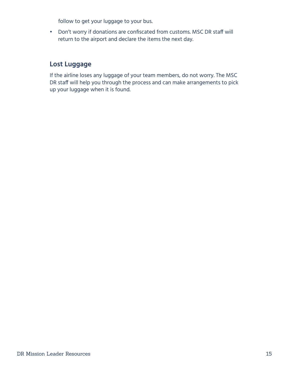follow to get your luggage to your bus.

• Don't worry if donations are confiscated from customs. MSC DR staff will return to the airport and declare the items the next day.

## **Lost Luggage**

If the airline loses any luggage of your team members, do not worry. The MSC DR staff will help you through the process and can make arrangements to pick up your luggage when it is found.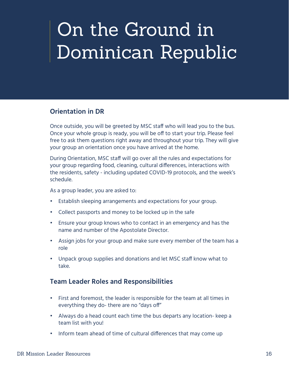## <span id="page-15-0"></span>On the Ground in Dominican Republic

## **Orientation in DR**

Once outside, you will be greeted by MSC staff who will lead you to the bus. Once your whole group is ready, you will be off to start your trip. Please feel free to ask them questions right away and throughout your trip. They will give your group an orientation once you have arrived at the home.

During Orientation, MSC staff will go over all the rules and expectations for your group regarding food, cleaning, cultural differences, interactions with the residents, safety - including updated COVID-19 protocols, and the week's schedule.

As a group leader, you are asked to:

- Establish sleeping arrangements and expectations for your group.
- Collect passports and money to be locked up in the safe
- Ensure your group knows who to contact in an emergency and has the name and number of the Apostolate Director.
- Assign jobs for your group and make sure every member of the team has a role
- Unpack group supplies and donations and let MSC staff know what to take.

### **Team Leader Roles and Responsibilities**

- First and foremost, the leader is responsible for the team at all times in everything they do- there are no "days off"
- Always do a head count each time the bus departs any location- keep a team list with you!
- Inform team ahead of time of cultural differences that may come up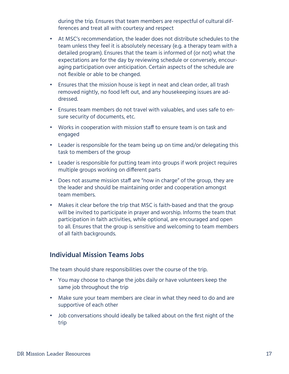during the trip. Ensures that team members are respectful of cultural differences and treat all with courtesy and respect

- At MSC's recommendation, the leader does not distribute schedules to the team unless they feel it is absolutely necessary (e.g. a therapy team with a detailed program). Ensures that the team is informed of (or not) what the expectations are for the day by reviewing schedule or conversely, encouraging participation over anticipation. Certain aspects of the schedule are not flexible or able to be changed.
- Ensures that the mission house is kept in neat and clean order, all trash removed nightly, no food left out, and any housekeeping issues are addressed.
- Ensures team members do not travel with valuables, and uses safe to ensure security of documents, etc.
- Works in cooperation with mission staff to ensure team is on task and engaged
- Leader is responsible for the team being up on time and/or delegating this task to members of the group
- Leader is responsible for putting team into groups if work project requires multiple groups working on different parts
- Does not assume mission staff are "now in charge" of the group, they are the leader and should be maintaining order and cooperation amongst team members.
- Makes it clear before the trip that MSC is faith-based and that the group will be invited to participate in prayer and worship. Informs the team that participation in faith activities, while optional, are encouraged and open to all. Ensures that the group is sensitive and welcoming to team members of all faith backgrounds.

### **Individual Mission Teams Jobs**

The team should share responsibilities over the course of the trip.

- You may choose to change the jobs daily or have volunteers keep the same job throughout the trip
- Make sure your team members are clear in what they need to do and are supportive of each other
- Job conversations should ideally be talked about on the first night of the trip